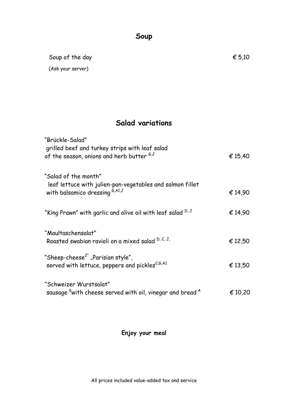### **Soup**

Soup of the day  $\epsilon$  5,10 (Ask your server)

# **Salad variations**

| "Brückle-Salad"<br>grilled beef and turkey strips with leaf salad<br>of the season, onions and herb butter ${}^{G,J}$ | € 15,40 |
|-----------------------------------------------------------------------------------------------------------------------|---------|
| "Salad of the month"<br>leaf lettuce with julien-pan-vegetables and salmon fillet<br>with balsamico dressing G,A1,J   | € 14,90 |
| "King Prawn" with garlic and olive oil with leaf salad <sup>D, J</sup>                                                | € 14,90 |
| "Maultaschensalat"<br>Roasted swabian ravioli on a mixed salad D, C, J,                                               | € 12,50 |
| "Sheep-cheese <sup>2"</sup> "Parisian style",<br>served with lettuce, peppers and pickles <sup>C,6,A1</sup>           | € 13,50 |
| "Schweizer Wurstsalat"<br>sausage <sup>6</sup> with cheese served with oil, vinegar and bread <sup>A</sup>            | € 10,20 |

### **Enjoy your meal**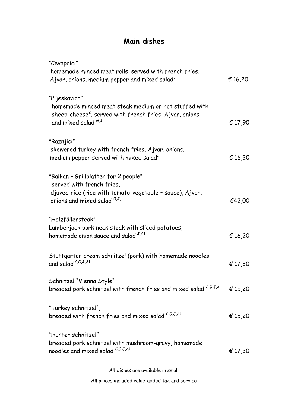# **Main dishes**

| "Cevapcici"<br>homemade minced meat rolls, served with french fries,<br>Ajvar, onions, medium pepper and mixed salad $J$                      | € 16,20 |
|-----------------------------------------------------------------------------------------------------------------------------------------------|---------|
| "Pljeskavica"<br>homemade minced meat steak medium or hot stuffed with<br>sheep-cheese <sup>2</sup> , served with french fries, Ajvar, onions |         |
| and mixed salad <sup>6,J</sup>                                                                                                                | € 17,90 |
| "Raznjici"<br>skewered turkey with french fries, Ajvar, onions,<br>medium pepper served with mixed salad <sup>J</sup>                         | € 16,20 |
| "Balkan - Grillplatter for 2 people"<br>served with french fries,                                                                             |         |
| djuvec-rice (rice with tomato-vegetable - sauce), Ajvar,<br>onions and mixed salad $^{G,J}$ .                                                 | €42,00  |
| "Holzfällersteak"<br>Lumberjack pork neck steak with sliced potatoes,<br>homemade onion sauce and salad $^{J,A1}$                             | € 16,20 |
| Stuttgarter cream schnitzel (pork) with homemade noodles<br>and salad $^{C,G,J,A1}$                                                           | € 17,30 |
| Schnitzel "Vienna Style"<br>breaded pork schnitzel with french fries and mixed salad C,G,J,A                                                  | € 15,20 |
| "Turkey schnitzel",<br>breaded with french fries and mixed salad $^{c,s,\mathrm{J},\mathrm{A1}}$                                              | € 15,20 |
| "Hunter schnitzel"<br>breaded pork schnitzel with mushroom-gravy, homemade                                                                    |         |
| noodles and mixed salad C,G,J,A1                                                                                                              | € 17,30 |

All dishes are available in small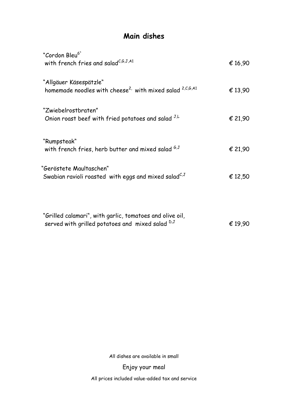## **Main dishes**

| "Cordon Bleu <sup>6"</sup><br>with french fries and salad <sup>C,G,J,A1</sup>                      | € 16,90 |
|----------------------------------------------------------------------------------------------------|---------|
| "Allgäuer Käsespätzle"<br>homemade noodles with cheese <sup>2</sup> with mixed salad $^{2,C,G,A1}$ | € 13,90 |
| "Zwiebelrostbraten"<br>Onion roast beef with fried potatoes and salad J.L                          | € 21,90 |
| "Rumpsteak"<br>with french fries, herb butter and mixed salad $^{6,5}$                             | € 21,90 |
| "Geröstete Maultaschen"<br>Swabian ravioli roasted with eggs and mixed salad $C$ ,                 | € 12,50 |
|                                                                                                    |         |

| "Grilled calamari", with garlic, tomatoes and olive oil,    |         |
|-------------------------------------------------------------|---------|
| served with grilled potatoes and mixed salad <sup>D,J</sup> | € 19.90 |

All dishes are available in small

Enjoy your meal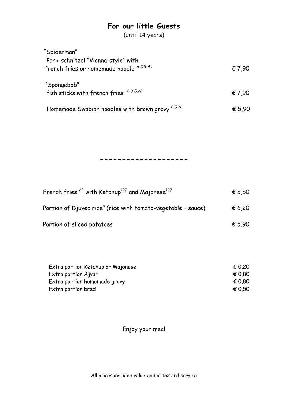## **For our little Guests**

(until 14 years)

| "Spiderman"                                           |        |
|-------------------------------------------------------|--------|
| Pork-schnitzel "Vienna-style" with                    |        |
| french fries or homemade noodle A,C,G,A1              | € 7,90 |
| "Spongebob"                                           |        |
| fish sticks with french fries $C, D, G, A1$           | € 7.90 |
| Homemade Swabian noodles with brown gravy $^{C,G,A1}$ | € 5,90 |

#### **--------------------**

| French fries $A^*$ with Ketchup <sup>127</sup> and Majonese <sup>127</sup> | € 5,50          |
|----------------------------------------------------------------------------|-----------------|
| Portion of Djuvec rice" (rice with tomato-vegetable - sauce)               | $\epsilon$ 6,20 |
| Portion of sliced potatoes                                                 | € 5.90          |

| Extra portion Ketchup or Majonese | € 0.20 |
|-----------------------------------|--------|
| Extra portion Ajvar               | € 0.80 |
| Extra portion homemade gravy      | € 0.80 |
| Extra portion bred                | € 0.50 |

Enjoy your meal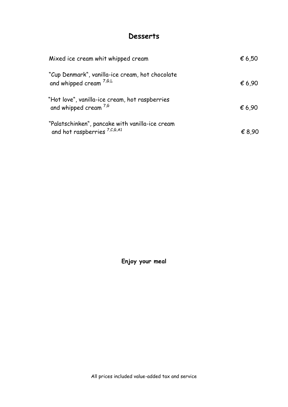### **Desserts**

| Mixed ice cream whit whipped cream                                                         | € 6,50 |
|--------------------------------------------------------------------------------------------|--------|
| "Cup Denmark", vanilla-ice cream, hot chocolate<br>and whipped cream $^{7,6,L}$            | € 6.90 |
| "Hot love", vanilla-ice cream, hot raspberries<br>and whipped cream $^{7,6}$               | € 6,90 |
| "Palatschinken", pancake with vanilla-ice cream<br>and hot raspberries <sup>7,C,G,A1</sup> | € 8,90 |

**Enjoy your meal**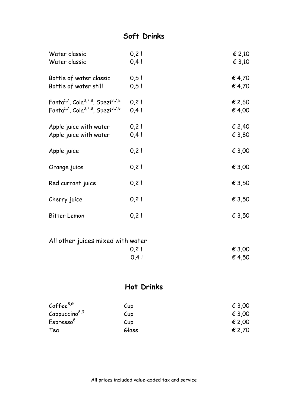# **Soft Drinks**

| Water classic                                                         | $0,2$ | € 2,10          |
|-----------------------------------------------------------------------|-------|-----------------|
| Water classic                                                         | 0,4   | $\epsilon$ 3,10 |
| Bottle of water classic                                               | 0,5   | € 4,70          |
| Bottle of water still                                                 | 0,5   | € 4,70          |
| Fanta <sup>1,7</sup> , Cola <sup>3,7,8</sup> , Spezi <sup>3,7,8</sup> | $0,2$ | € 2,60          |
| Fanta <sup>1,7</sup> , Cola <sup>3,7,8</sup> , Spezi <sup>3,7,8</sup> | 0,4   | € 4,00          |
| Apple juice with water                                                | $0,2$ | € 2,40          |
| Apple juice with water                                                | 0,4   | € 3,80          |
| Apple juice                                                           | 0,21  | € 3,00          |
| Orange juice                                                          | 0,21  | € 3,00          |
| Red currant juice                                                     | 0,21  | € 3,50          |
| Cherry juice                                                          | 0,21  | € 3,50          |
| Bitter Lemon                                                          | 0,21  | € 3,50          |

| € 3.00 |
|--------|
| € 4.50 |
|        |

# **Hot Drinks**

| Coffee $8,6$              | Cup   | € 3,00 |
|---------------------------|-------|--------|
| Cappuccino <sup>8,6</sup> | Cup   | € 3,00 |
| Espresso <sup>8</sup>     | Cup   | € 2,00 |
| Tea                       | Glass | € 2,70 |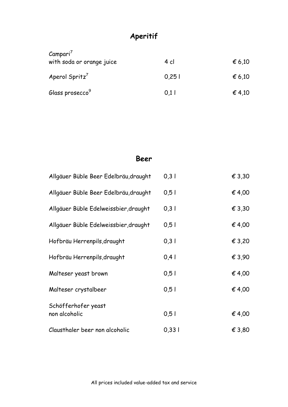# **Aperitif**

| Campari <sup>7</sup><br>with soda or orange juice | 4 cl | $\epsilon$ 6,10 |
|---------------------------------------------------|------|-----------------|
| Aperol Spritz <sup>7</sup>                        | 0,25 | € 6,10          |
| Glass prosecco <sup>9</sup>                       | 0.11 | € 4,10          |

#### **Beer**

| Allgäuer Büble Beer Edelbräu, draught | 0,3   | € 3,30          |
|---------------------------------------|-------|-----------------|
| Allgäuer Büble Beer Edelbräu, draught | 0,5   | € 4,00          |
| Allgäuer Büble Edelweissbier, draught | 0,31  | $\epsilon$ 3,30 |
| Allgäuer Büble Edelweissbier, draught | 0,5   | € 4,00          |
| Hofbräu Herrenpils, draught           | 0,3   | € 3,20          |
| Hofbräu Herrenpils, draught           | $0,4$ | € 3,90          |
| Malteser yeast brown                  | 0,5   | € 4,00          |
| Malteser crystalbeer                  | 0,5   | € 4,00          |
| Schöfferhofer yeast<br>non alcoholic  | 0,5   | € 4,00          |
| Clausthaler beer non alcoholic        | 0,331 | € 3,80          |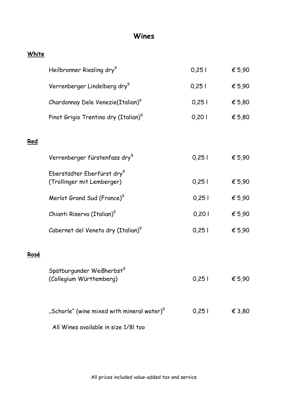### **Wines**

#### **White**

**Red**

**Rosé**

|      | Heilbronner Riesling dry <sup>9</sup>                                | 0,251 | € 5,90          |
|------|----------------------------------------------------------------------|-------|-----------------|
|      | Verrenberger Lindelberg dry <sup>9</sup>                             | 0,251 | € 5,90          |
|      | Chardonnay Dele Venezie(Italian) <sup>9</sup>                        | 0,251 | € 5,80          |
|      | Pinot Grigio Trentino dry (Italian) <sup>9</sup>                     | 0,201 | € 5,80          |
| Red  |                                                                      |       |                 |
|      | Verrenberger fürstenfass dry <sup>9</sup>                            | 0,251 | € 5,90          |
|      | Eberstädter Eberfürst dry <sup>9</sup><br>(Trollinger mit Lemberger) | 0,25  | € 5,90          |
|      | Merlot Grand Sud (France) <sup>9</sup>                               | 0,251 | € 5,90          |
|      | Chianti Riserva (Italian) <sup>9</sup>                               | 0,201 | € 5,90          |
|      | Cabernet del Veneto dry (Italian) <sup>9</sup>                       | 0,251 | € 5,90          |
| Rosé |                                                                      |       |                 |
|      | Spätburgunder Weißherbst <sup>9</sup><br>(Collegium Württemberg)     | 0,251 | € 5,90          |
|      | "Schorle" (wine mixed with mineral water) $^9$                       | 0,251 | $\epsilon$ 3,80 |
|      | All Wines available in size 1/81 too                                 |       |                 |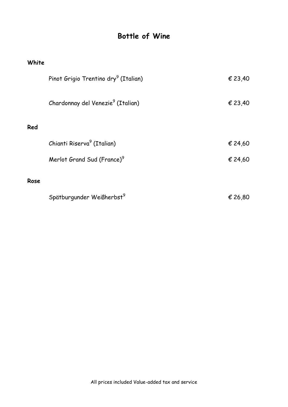# **Bottle of Wine**

#### **White**

|      | Pinot Grigio Trentino dry <sup>9</sup> (Italian) | € 23,40 |
|------|--------------------------------------------------|---------|
|      | Chardonnay del Venezie <sup>9</sup> (Italian)    | € 23,40 |
| Red  |                                                  |         |
|      | Chianti Riserva <sup>9</sup> (Italian)           | € 24,60 |
|      | Merlot Grand Sud (France) <sup>9</sup>           | € 24,60 |
| Rose |                                                  |         |
|      | Spätburgunder Weißherbst <sup>9</sup>            | € 26,80 |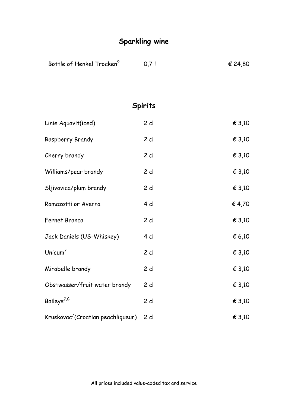| Bottle of Henkel Trocken <sup>9</sup>          | 0,71           | € 24,80 |
|------------------------------------------------|----------------|---------|
|                                                |                |         |
|                                                | <b>Spirits</b> |         |
| Linie Aquavit(iced)                            | $2$ cl         | € 3,10  |
| Raspberry Brandy                               | $2$ cl         | € 3,10  |
| Cherry brandy                                  | $2$ cl         | € 3,10  |
| Williams/pear brandy                           | $2$ cl         | € 3,10  |
| Sljivovica/plum brandy                         | $2$ cl         | € 3,10  |
| Ramazotti or Averna                            | 4 cl           | €4,70   |
| Fernet Branca                                  | $2$ cl         | € 3,10  |
| Jack Daniels (US-Whiskey)                      | 4 cl           | € 6,10  |
| Unicum $7$                                     | $2$ cl         | € 3,10  |
| Mirabelle brandy                               | $2$ cl         | € 3,10  |
| Obstwasser/fruit water brandy                  | $2$ cl         | € 3,10  |
| Baileys <sup>7,6</sup>                         | $2$ cl         | € 3,10  |
| Kruskovac <sup>7</sup> (Croatian peachliqueur) | $2$ cl         | € 3,10  |

**Sparkling wine**